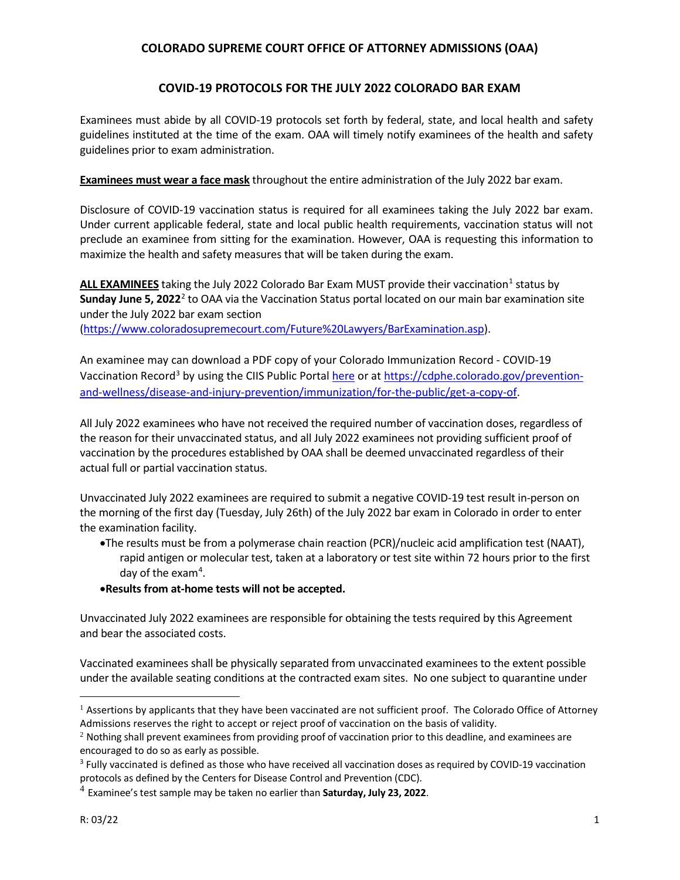## **COLORADO SUPREME COURT OFFICE OF ATTORNEY ADMISSIONS (OAA)**

## **COVID-19 PROTOCOLS FOR THE JULY 2022 COLORADO BAR EXAM**

Examinees must abide by all COVID-19 protocols set forth by federal, state, and local health and safety guidelines instituted at the time of the exam. OAA will timely notify examinees of the health and safety guidelines prior to exam administration.

**Examinees must wear a face mask** throughout the entire administration of the July 2022 bar exam.

Disclosure of COVID-19 vaccination status is required for all examinees taking the July 2022 bar exam. Under current applicable federal, state and local public health requirements, vaccination status will not preclude an examinee from sitting for the examination. However, OAA is requesting this information to maximize the health and safety measures that will be taken during the exam.

**ALL EXAMINEES** taking the July 2022 Colorado Bar Exam MUST provide their vaccination<sup>[1](#page-0-0)</sup> status by **Sunday June 5, 2022**[2](#page-0-1) to OAA via the Vaccination Status portal located on our main bar examination site under the July 2022 bar exam section [\(https://www.coloradosupremecourt.com/Future%20Lawyers/BarExamination.asp\)](https://www.coloradosupremecourt.com/Future%20Lawyers/BarExamination.asp).

An examinee may can download a PDF copy of your Colorado Immunization Record - COVID-19 Vaccination Record<sup>[3](#page-0-2)</sup> by using the CIIS Public Portal [here](https://cdphe.colorado.gov/prevention-and-wellness/disease-and-injury-prevention/immunization/for-the-public/get-a-copy-of) or a[t https://cdphe.colorado.gov/prevention](https://cdphe.colorado.gov/prevention-and-wellness/disease-and-injury-prevention/immunization/for-the-public/get-a-copy-of)[and-wellness/disease-and-injury-prevention/immunization/for-the-public/get-a-copy-of.](https://cdphe.colorado.gov/prevention-and-wellness/disease-and-injury-prevention/immunization/for-the-public/get-a-copy-of)

All July 2022 examinees who have not received the required number of vaccination doses, regardless of the reason for their unvaccinated status, and all July 2022 examinees not providing sufficient proof of vaccination by the procedures established by OAA shall be deemed unvaccinated regardless of their actual full or partial vaccination status.

Unvaccinated July 2022 examinees are required to submit a negative COVID-19 test result in-person on the morning of the first day (Tuesday, July 26th) of the July 2022 bar exam in Colorado in order to enter the examination facility.

•The results must be from a polymerase chain reaction (PCR)/nucleic acid amplification test (NAAT), rapid antigen or molecular test, taken at a laboratory or test site within 72 hours prior to the first day of the exam<sup>[4](#page-0-3)</sup>.

## •**Results from at-home tests will not be accepted.**

Unvaccinated July 2022 examinees are responsible for obtaining the tests required by this Agreement and bear the associated costs.

Vaccinated examinees shall be physically separated from unvaccinated examinees to the extent possible under the available seating conditions at the contracted exam sites. No one subject to quarantine under

<span id="page-0-0"></span> $<sup>1</sup>$  Assertions by applicants that they have been vaccinated are not sufficient proof. The Colorado Office of Attorney</sup> Admissions reserves the right to accept or reject proof of vaccination on the basis of validity.

<span id="page-0-1"></span><sup>&</sup>lt;sup>2</sup> Nothing shall prevent examinees from providing proof of vaccination prior to this deadline, and examinees are

<span id="page-0-2"></span>encouraged to do so as early as possible.<br><sup>3</sup> Fully vaccinated is defined as those who have received all vaccination doses as required by COVID-19 vaccination protocols as defined by the Centers for Disease Control and Prevention (CDC).

<span id="page-0-3"></span><sup>4</sup> Examinee's test sample may be taken no earlier than **Saturday, July 23, 2022**.